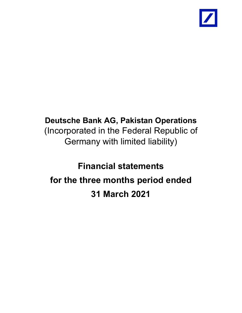

# **Deutsche Bank AG, Pakistan Operations** (Incorporated in the Federal Republic of Germany with limited liability)

# **Financial statements for the three months period ended 31 March 2021**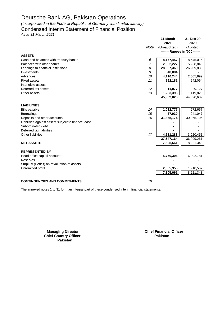*(Incorporated in the Federal Republic of Germany with limited liability)*

# Condensed Interim Statement of Financial Position

*As at 31 March 2021*

|                                                     |      | 31 March                      | 31-Dec-20  |
|-----------------------------------------------------|------|-------------------------------|------------|
|                                                     |      | 2021                          | 2020       |
|                                                     | Note | (Un-audited)                  | (Audited)  |
|                                                     |      | ------- Rupees in '000 ------ |            |
| <b>ASSETS</b>                                       |      |                               |            |
| Cash and balances with treasury banks               | 6    | 8,177,457                     | 8,645,015  |
| Balances with other banks                           | 7    | 2,362,227                     | 5,268,843  |
| Lendings to financial institutions                  | 8    | 28,867,360                    | 26,209,833 |
| Investments                                         | 9    | 348,884                       |            |
| Advances                                            | 10   | 4,110,244                     | 2,505,899  |
| <b>Fixed assets</b>                                 | 11   | 192,181                       | 242,064    |
| Intangible assets                                   |      |                               |            |
| Deferred tax assets                                 | 12   | 11,077                        | 29,127     |
| Other assets                                        | 13   | 1,283,395                     | 1,419,828  |
|                                                     |      | 45,352,825                    | 44,320,609 |
| <b>LIABILITIES</b>                                  |      |                               |            |
| <b>Bills payable</b>                                | 14   | 1,032,777                     | 972,657    |
| <b>Borrowings</b>                                   | 15   | 37,930                        | 241,047    |
| Deposits and other accounts                         | 16   | 31,865,174                    | 30,965,106 |
| Liabilities against assets subject to finance lease |      |                               |            |
| Subordinated debt                                   |      |                               |            |
| Deferred tax liabilities                            |      |                               |            |
| Other liabilities                                   | 17   | 4,611,283                     | 3,920,451  |
|                                                     |      | 37,547,164                    | 36,099,261 |
| <b>NET ASSETS</b>                                   |      | 7,805,661                     | 8,221,348  |
|                                                     |      |                               |            |
| <b>REPRESENTED BY</b>                               |      |                               |            |
| Head office capital account                         |      | 5,750,306                     | 6,302,781  |
| Reserves                                            |      |                               |            |
| Surplus/ (Deficit) on revaluation of assets         |      |                               |            |
| Unremitted profit                                   |      | 2,055,355                     | 1,918,567  |
|                                                     |      | 7,805,661                     | 8,221,348  |
|                                                     |      |                               |            |
| <b>CONTINGENCIES AND COMMITMENTS</b>                | 18   |                               |            |

The annexed notes 1 to 31 form an integral part of these condensed interim financial statements.

**Chief Country Officer Pakistan** 

**Managing Director Chief Financial Officer Pakistan**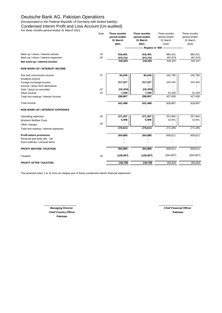*(Incorporated in the Federal Republic of Germany with limited liability)* Condensed Interim Profit and Loss Account (Un-audited)

*For three months period ended 31 March 2021*

|                                        | Note | Three months<br>period ended | Three months<br>period ended | Three months<br>period ended | Three months<br>period ended |
|----------------------------------------|------|------------------------------|------------------------------|------------------------------|------------------------------|
|                                        |      | 31 March                     | 31 March                     | 31 March                     | 31 March                     |
|                                        |      | 2021                         | 2021                         | 2020                         | 2020                         |
|                                        |      |                              |                              |                              |                              |
| Mark-up / return / interest earned     | 19   | 616,401                      | 616,401                      | 960,321                      | 960,321                      |
| Mark-up / return / interest expensed   | 20   | 373,710                      | 373,710                      | 457,874                      | 457,874                      |
| Net mark-up / interest income          |      | 242,691                      | 242,691                      | 502,447                      | 502,447                      |
| <b>NON MARK-UP / INTEREST INCOME</b>   |      |                              |                              |                              |                              |
| Fee and commission income              | 21   | 84,245                       | 84,245                       | 162,790                      | 162,790                      |
| Dividend income                        |      |                              |                              |                              |                              |
| Foreign exchange income                |      | 217,227                      | 217,227                      | 242,432                      | 242,432                      |
| Income / (loss) from derivatives       |      |                              |                              |                              |                              |
| Gain / (loss) on securities            | 22   | (10, 103)                    | (10, 103)                    |                              |                              |
| Other income                           | 23   | 7,438                        | 7,438                        | 22,228                       | 22,228                       |
| Total non-markup / interest Income     |      | 298,807                      | 298,807                      | 427,450                      | 427,450                      |
| <b>Total Income</b>                    |      | 541,498                      | 541,498                      | 929,897                      | 929,897                      |
| <b>NON MARK-UP / INTEREST EXPENSES</b> |      |                              |                              |                              |                              |
| Operating expenses                     | 24   | 271,207                      | 271,207                      | 257,845                      | 257,845                      |
| Workers Welfare Fund                   |      | 5,406                        | 5,406                        | 13,441                       | 13,441                       |
| Other charges                          | 25   |                              |                              |                              |                              |
| Total non-markup / interest expenses   |      | 276,613                      | 276,613                      | 271,286                      | 271,286                      |
| Profit before provisions               |      | 264,885                      | 264,885                      | 658,611                      | 658,611                      |
| Reversal and write offs - net          |      |                              |                              |                              |                              |
| Extra ordinary / unusual items         |      |                              |                              |                              |                              |
| <b>PROFIT BEFORE TAXATION</b>          |      | 264,885                      | 264,885                      | 658,611                      | 658,611                      |
| Taxation                               | 25   | (128,097)                    | (128,097)                    | (264, 807)                   | (264, 807)                   |
| <b>PROFIT AFTER TAXATION</b>           |      | 136,788                      | 136,788                      | 393,804                      | 393,804                      |
|                                        |      |                              |                              |                              |                              |

The annexed notes 1 to 31 form an integral part of these condensed interim financial statements.

**Managing Director** Chief Financial Officer **Chief Country Officer Pakistan Pakistan**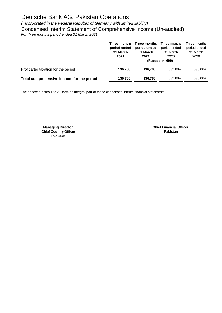*(Incorporated in the Federal Republic of Germany with limited liability)*

Condensed Interim Statement of Comprehensive Income (Un-audited)

*For three months period ended 31 March 2021*

|                                           | period ended<br>31 March<br>2021 | Three months Three months<br>period ended<br>31 March<br>2021 | Three months<br>period ended<br>31 March<br>2020<br>--(Rupees in '000)------------------- | Three months<br>period ended<br>31 March<br>2020 |
|-------------------------------------------|----------------------------------|---------------------------------------------------------------|-------------------------------------------------------------------------------------------|--------------------------------------------------|
| Profit after taxation for the period      | 136.788                          | 136.788                                                       | 393.804                                                                                   | 393,804                                          |
| Total comprehensive income for the period | 136,788                          | 136,788                                                       | 393.804                                                                                   | 393.804                                          |

The annexed notes 1 to 31 form an integral part of these condensed interim financial statements.

**Chief Country Officer Pakistan Pakistan**

**Managing Director** Chief Financial Officer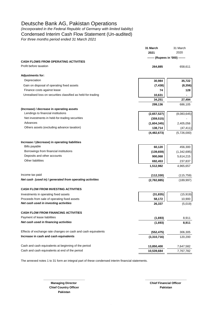*(Incorporated in the Federal Republic of Germany with limited liability)* Condensed Interim Cash Flow Statement (Un-audited) *For three months period ended 31 March 2021*

|                                                               | 31 March<br>2021                 | 31 March<br>2020 |
|---------------------------------------------------------------|----------------------------------|------------------|
|                                                               | ------- (Rupees in '000) ------- |                  |
| <b>CASH FLOWS FROM OPERATING ACTIVITIES</b>                   |                                  |                  |
| Profit before taxation                                        | 264,885                          | 658,611          |
| <b>Adjustments for:</b>                                       |                                  |                  |
| Depreciation                                                  | 30,984                           | 35,722           |
| Gain on disposal of operating fixed assets                    | (7, 438)                         | (8,356)          |
| Finance costs against lease                                   | 74                               | 128              |
| Unrealised loss on securities classified as held-for-trading  | 10,631                           | $\blacksquare$   |
|                                                               | 34,251                           | 27,494           |
|                                                               | 299,136                          | 686,105          |
| (Increase) / decrease in operating assets                     |                                  |                  |
| Lendings to financial institutions                            | (2,657,527)                      | (8,083,645)      |
| Net investments in held-for-trading securities                | (359, 515)                       |                  |
| Advances                                                      | (1,604,345)                      | 2,405,056        |
| Others assets (excluding advance taxation)                    | 138,714                          | (47, 411)        |
|                                                               | (4,482,673)                      | (5,726,000)      |
| Increase / (decrease) in operating liabilities                |                                  |                  |
| <b>Bills payable</b>                                          | 60,120                           | 456,300          |
| Borrowings from financial institutions                        | (139, 659)                       | (1,342,695)      |
| Deposits and other accounts                                   | 900,068                          | 5,614,215        |
| <b>Other liabilities</b>                                      | 692,453                          | 237,837          |
|                                                               | 1,512,982                        | 4,965,657        |
| Income tax paid                                               | (112, 330)                       | (115, 759)       |
| Net cash (used in) / generated from operating activities      | (2,782,885)                      | (189, 997)       |
| <b>CASH FLOW FROM INVESTING ACTIVITIES</b>                    |                                  |                  |
| Investments in operating fixed assets                         | (31, 835)                        | (15, 919)        |
| Proceeds from sale of operating fixed assets                  | 58,172                           | 10,900           |
| Net cash used in investing activities                         | 26,337                           | (5,019)          |
| <b>CASH FLOW FROM FINANCING ACTIVITIES</b>                    |                                  |                  |
| Payment of lease liabilities                                  | (1,693)                          | 8,911            |
| Net cash used in financing activities                         | (1,693)                          | 8,911            |
| Effects of exchange rate changes on cash and cash equivalents | (552, 475)                       | 306,305          |
| Increase in cash and cash equivalents                         | (3,310,716)                      | 120,200          |
| Cash and cash equivalents at beginning of the period          | 13,850,400                       | 7,647,582        |
| Cash and cash equivalents at end of the period                | 10,539,684                       | 7,767,782        |
|                                                               |                                  |                  |

**\_\_\_\_\_\_\_\_\_\_\_\_\_\_\_\_\_\_\_\_\_\_\_\_\_ \_\_\_\_\_\_\_\_\_\_\_\_\_\_\_\_\_\_\_\_\_\_\_\_\_**

The annexed notes 1 to 31 form an integral part of these condensed interim financial statements.

**Chief Country Officer Pakistan Pakistan**

**Managing Director** Chief Financial Officer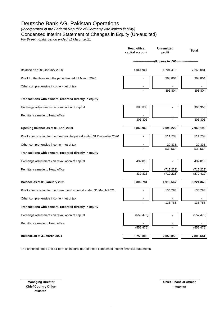*(Incorporated in the Federal Republic of Germany with limited liability)*

Condensed Interim Statement of Changes in Equity (Un-audited)

*For three months period ended 31 March 2021*

|                                                                         | <b>Head office</b><br>capital account | <b>Unremitted</b><br>profit | <b>Total</b>      |
|-------------------------------------------------------------------------|---------------------------------------|-----------------------------|-------------------|
|                                                                         | --(Rupees in '000) ---                |                             |                   |
| Balance as at 01 January 2020                                           | 5,563,663                             | 1,704,418                   | 7,268,081         |
| Profit for the three months period ended 31 March 2020                  |                                       | 393,804                     | 393,804           |
| Other comprehensive income - net of tax                                 |                                       | 393,804                     | 393,804           |
| Transactions with owners, recorded directly in equity                   |                                       |                             |                   |
| Exchange adjustments on revaluation of capital                          | 306,305                               |                             | 306,305           |
| Remittance made to Head office                                          | 306,305                               |                             |                   |
|                                                                         |                                       |                             | 306,305           |
| Opening balance as at 01 April 2020                                     | 5,869,968                             | 2,098,222                   | 7,968,190         |
| Profit after taxation for the nine months period ended 31 December 2020 |                                       | 511,733                     | 511,733           |
| Other comprehensive income - net of tax                                 |                                       | 20,835<br>532,568           | 20,835<br>532,568 |
| Transactions with owners, recorded directly in equity                   |                                       |                             |                   |
| Exchange adjustments on revaluation of capital                          | 432,813                               |                             | 432,813           |
| Remittance made to Head office                                          |                                       | (712, 223)                  | (712, 223)        |
|                                                                         | 432,813                               | (712, 223)                  | (279, 410)        |
| Balance as at 01 January 2021                                           | 6,302,781                             | 1,918,567                   | 8,221,348         |
| Profit after taxation for the three months period ended 31 March 2021   |                                       | 136,788                     | 136,788           |
| Other comprehensive income - net of tax                                 |                                       |                             |                   |
| Transactions with owners, recorded directly in equity                   |                                       | 136,788                     | 136,788           |
| Exchange adjustments on revaluation of capital                          | (552, 475)                            |                             | (552, 475)        |
| Remittance made to Head office                                          | (552, 475)                            |                             | (552, 475)        |
|                                                                         |                                       |                             |                   |
| Balance as at 31 March 2021                                             | 5,750,306                             | 2,055,355                   | 7,805,661         |

The annexed notes 1 to 31 form an integral part of these condensed interim financial statements.

\_\_\_\_\_\_\_\_\_\_\_\_\_\_\_\_\_\_\_\_\_\_\_\_ \_\_\_\_\_\_\_\_\_\_\_\_\_\_\_\_\_\_\_\_\_\_\_\_  **Managing Director Chief Country Officer Pakistan**

**Pakistan Chief Financial Officer**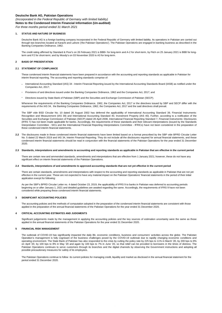*(Incorporated in the Federal Republic of Germany with limited liability)* **Notes to the Condensed Interim Financial Information (Un-audited)**

*For three months period ended 31 March 2021*

## **1. STATUS AND NATURE OF BUSINESS**

Deutsche Bank AG is a foreign banking company incorporated in the Federal Republic of Germany with limited liability. Its operations in Pakistan are carried out through two branches located at Karachi and Lahore ('the Pakistan Operations'). The Pakistan Operations are engaged in banking business as described in the Banking Companies Ordinance, 1962.

The credit rating affirmed by Standard & Poor's on 26 February 2021 is BBB+ for long-term and A-2 for short-term, by Fitch on 25 January 2021 is BBB for longterm and F2 for short-term; and by Moody's on 03 November 2020 is A3 for long-term.

## **2 BASIS OF PRESENTATION**

#### **2.1 STATEMENT OF COMPLIANCE**

These condensed interim financial statements have been prepared in accordance with the accounting and reporting standards as applicable in Pakistan for interim financial reporting. The accounting and reporting standards comprise of:

- **-** International Accounting Standard (IAS) 34 - Interim Financial Reporting issued by the International Accounting Standards Board (IASB) as notified under the Companies Act, 2017;
- **-** Provisions of and directives issued under the Banking Companies Ordinance, 1962 and the Companies Act, 2017; and
- **-** Directives issued by State Bank of Pakistan (SBP) and the Securities and Exchange Commission of Pakistan (SECP).

Whenever the requirements of the Banking Companies Ordinance, 1962, the Companies Act, 2017 or the directives issued by SBP and SECP differ with the requirements of the IAS 34, the Banking Companies Ordinance, 1962, the Companies Act, 2017 and the said directives shall prevail.

The SBP vide BSD Circular No. 10 dated 26 August 2002 has deferred the applicability of International Accounting Standard 39, Financial Instruments: Recognition and Measurement (IAS 39) and International Accounting Standard 40, Investment Property (IAS 40). Further, according to a notification of the Securities and Exchange Commission of Pakistan (SECP) dated 28 April 2008, International Financial Reporting Standard 7, Financial Instruments: Disclosures (IFRS 7) has not been made applicable for banks. Accordingly, the requirements of these standards and their relevant interpretations (issued by the Standards Interpretation Committee - SICs and the International Financial Reporting Interpretations Committee - IFRICs) have not been considered in the preparation of these condensed interim financial statements.

**2.2** The disclosures made in these condensed interim financial statements have been limited based on a format prescribed by the SBP vide BPRD Circular Letter No. 5 dated 22 March 2019 and IAS 34, Interim Financial Reporting. They do not include all the disclosures required for annual financial statements, and these condensed interim financial statements should be read in conjunction with the financial statements of the Pakistan Operations for the year ended 31 December 2020.

#### **2.3 Standards, interpretations and amendments to accounting and reporting standards as applicable in Pakistan that are effective in the current period**

There are certain new and ammended standards, amendments and interpretations that are effective from 1 January 2021; however, these do not have any significant effect on interim financial statements of the Pakistan Operations.

#### **2.4 Standards, interpretations of and amendments to approved accounting standards that are not yet effective in the current period**

There are certain standards, amendments and interpretations with respect to the accounting and reporting standards as applicable in Pakistan that are not yet effective in the current year. These are not expected to have any material impact on the Pakistan Operations' financial statements in the period of their initial application execpt for following:

As per the SBP's BPRD Circular Letter no. 4 dated October 23, 2019, the applicability of IFRS 9 to banks in Pakistan was deferred to accounting periods beginning on or after January 1, 2021 and detailed guidelines are awaited regarding the same. Accordingly, the requirements of IFRS 9 have not been considered while preparing these condensed interim financial statements.

# **3 SIGNIFICANT ACCOUNTING POLICIES**

The accounting policies and the methods of computation adopted in the preparation of the condensed interim financial statements are consistent with those applied in the preparation of the annual financial statements of the Pakistan Operations for the year ended 31 December 2020.

#### **4 CRITICAL ACCOUNTING ESTIMATES AND JUDGMENTS**

Significant judgements made by the management in applying the accounting policies and the key sources of estimation uncertainty were the same as those applied in the annual financial statements of the Pakistan Operations for the year ended 31 December 2020.

#### **5 FINANCIAL RISK MANAGEMENT**

The outbreak of COVID-19 has significantly impacted the daily life, economic conditions, business and consumers' activities across the globe. The Pakistan Operation's management is fully cognisant of the business challenges posed by the COVID-19 outbreak due to rapidly changing economic conditions and operating environment. The State Bank of Pakistan has also responded to the crisis by cutting the policy rate by 225 bps to 11% in March '20, by 200 bps to 9% on April '20, by 100 bps to 8% in May '20 and again by 100 bps to 7% in June '20, so that relief can be provided to borrowers in the times of distress. The Pakistan Operations continues to serve customers through its branches and the digital channels by observing the Government instructions and adopting all possible precautionary measures for safety of its employees.

The Pakistan Operations continue to follow its current policies for managing credit, liquidity and market as disclosed in the annual financial statement for the period ended 31 December 2020.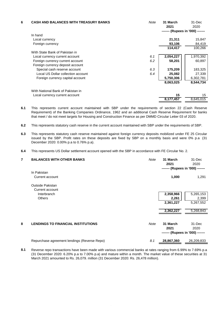| 6 | <b>CASH AND BALANCES WITH TREASURY BANKS</b> | Note | 31 March<br>2021<br>------- (Rupees in '000) ------- | 31-Dec<br>2020 |
|---|----------------------------------------------|------|------------------------------------------------------|----------------|
|   | In hand                                      |      |                                                      |                |
|   | Local currency                               |      | 21,311                                               | 15,847         |
|   | Foreign currency                             |      | 93,106                                               | 84,419         |
|   |                                              |      | 114,417                                              | 100,266        |
|   | With State Bank of Pakistan in               |      |                                                      |                |
|   | Local currency current account               | 6.1  | 2,054,227                                            | 1,970,392      |
|   | Foreign currency current account             | 6.2  | 58,201                                               | 60,897         |
|   | Foreign currency deposit account             |      |                                                      |                |
|   | Special cash reserve account                 | 6.3  | 175,209                                              | 183,325        |
|   | Local US Dollar collection account           | 6.4  | 25,082                                               | 27,339         |
|   | Foreign currency capital account             |      | 5,750,306                                            | 6,302,781      |
|   |                                              |      | 8,063,025                                            | 8,544,734      |
|   | With National Bank of Pakistan in            |      |                                                      |                |
|   | Local currency current account               |      | 15                                                   | 15             |
|   |                                              |      | 8,177,457                                            | 8,645,015      |

- **6.1** This represents current account maintained with SBP under the requirements of section 22 (Cash Reserve Requirement) of the Banking Companies Ordinance, 1962 and an additional Cash Reserve Requirement for banks that meet / do not meet targets for Housing and Construction Finance as per DMMD Circular Letter 03 of 2020.
- **6.2** This represents statutory cash reserve in the current account maintained with SBP under the requirements of SBP.
- **6.3** This represents statutory cash reserve maintained against foreign currency deposits mobilized under FE 25 Circular issued by the SBP. Profit rates on these deposits are fixed by SBP on a monthly basis and were 0% p.a (31 December 2020: 0.00% p.a to 0.76% p.a).
- **6.4** This represents US Dollar settlement account opened with the SBP in accordance with FE Circular No. 2.

| 7 | <b>BALANCES WITH OTHER BANKS</b>             | Note | 31 March<br>2021<br>------- (Rupees in '000) ------- | 31-Dec<br>2020 |
|---|----------------------------------------------|------|------------------------------------------------------|----------------|
|   | In Pakistan                                  |      |                                                      |                |
|   | Current account                              |      | 1,000                                                | 1,291          |
|   | Outside Pakistan                             |      |                                                      |                |
|   | Current account                              |      |                                                      |                |
|   | Interbranch                                  |      | 2,358,966                                            | 5,265,153      |
|   | <b>Others</b>                                |      | 2,261                                                | 2,399          |
|   |                                              |      | 2,361,227                                            | 5,267,552      |
|   |                                              |      | 2,362,227                                            | 5,268,843      |
| 8 | <b>LENDINGS TO FINANCIAL INSTITUTIONS</b>    | Note | 31 March                                             | 31-Dec         |
|   |                                              |      | 2021                                                 | 2020           |
|   |                                              |      | ------- (Rupees in '000) -------                     |                |
|   | Repurchase agreement lendings (Reverse Repo) | 8.1  | 28,867,360                                           | 26,209,833     |

**8.1** Reverse repo transactions have been made with various commercial banks at rates ranging from 6.99% to 7.69% p.a (31 December 2020: 6.20% p.a to 7.00% p.a) and mature within a month. The market value of these securities at 31 March 2021 amounted to Rs. 26,079. million (31 December 2020: Rs. 26,478 million).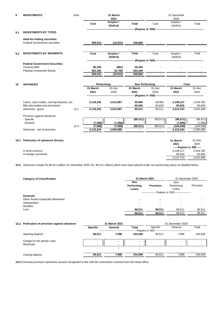| 9    | <b>INVESTMENTS</b>                          | Note |                      | 31 March<br>2021       |                       |                                                  | 31 December<br>2020      |                         |
|------|---------------------------------------------|------|----------------------|------------------------|-----------------------|--------------------------------------------------|--------------------------|-------------------------|
|      |                                             |      | Cost                 | Surplus /<br>(Deficit) | <b>Total</b>          | Cost                                             | Surplus /<br>(Deficit)   | Total                   |
|      |                                             |      |                      |                        |                       | -- (Rupees in '000) --------------------------   |                          |                         |
| 9.1  | <b>INVESTMENTS BY TYPES</b>                 |      |                      |                        |                       |                                                  |                          |                         |
|      | <b>Held-for-trading securities</b>          |      |                      |                        |                       |                                                  |                          |                         |
|      | <b>Federal Government securities</b>        |      | 359,515              | (10, 631)              | 348,884               |                                                  |                          |                         |
|      |                                             |      |                      |                        |                       |                                                  |                          |                         |
| 9.2  | <b>INVESTMENTS BY SEGMENTS</b>              |      | Cost                 | Surplus /<br>(Deficit) | <b>Total</b>          | Cost                                             | Surplus /<br>(Deficit)   | Total                   |
|      |                                             |      |                      |                        |                       | (Rupees in '000) ------------------------------- |                          |                         |
|      | <b>Federal Government Securities</b>        |      |                      |                        |                       |                                                  |                          |                         |
|      | <b>Treasury Bills</b>                       |      | 56,335               | (891)                  | 55,444                |                                                  |                          |                         |
|      | Pakistan Investment Bonds                   |      | 303,180              | (9,740)                | 293,440               |                                                  |                          |                         |
|      |                                             |      | 359,515              | (10, 631)              | 348,884               |                                                  |                          |                         |
| 10   | <b>ADVANCES</b>                             |      | Performing           |                        | <b>Non Performing</b> |                                                  | Total                    |                         |
|      |                                             |      | 31 March             | 31-Dec                 | 31 March              | 31-Dec                                           | 31 March                 | 31-Dec                  |
|      |                                             |      | 2021                 | 2020                   | 2021                  | 2020                                             | 2021                     | 2020                    |
|      |                                             |      |                      |                        | (Rupees in '000) ---- |                                                  |                          |                         |
|      | Loans, cash credits, running finances, etc. |      | 4,118,242            | 2,513,897              | 30,885                | 30,885                                           | 4,149,127                | 2,544,782               |
|      | Bills discounted and purchased              |      |                      |                        | 65,626                | 65,626                                           | 65,626                   | 65,626                  |
|      | Advances - gross                            | 10.1 | 4,118,242            | 2,513,897              | 96,511                | 96,511                                           | 4,214,753                | 2,610,408               |
|      | Provision against advances                  |      |                      |                        |                       |                                                  |                          |                         |
|      | - Specific                                  |      | $\blacksquare$       | $\blacksquare$         | (96, 511)             | (96, 511)                                        | (96, 511)                | (96, 511)               |
|      | - General                                   |      | (7,998)              | (7,998)                |                       |                                                  | (7,998)                  | (7,998)                 |
|      | Advances - net of provision                 | 10.3 | (7,998)<br>4,110,244 | (7,998)<br>2,505,899   | (96, 511)<br>٠        | (96, 511)                                        | (104, 509)<br>4,110,244  | (104, 509)<br>2,505,899 |
|      |                                             |      |                      |                        |                       |                                                  |                          |                         |
| 10.1 | <b>Particulars of advances (Gross)</b>      |      |                      |                        |                       |                                                  | 31 March                 | 31-Dec                  |
|      |                                             |      |                      |                        |                       |                                                  | 2021                     | 2020                    |
|      |                                             |      |                      |                        |                       |                                                  | ---- Rupees in '000 ---- |                         |
|      | In local currency                           |      |                      |                        |                       |                                                  | 4,149,127                | 2,544,782               |
|      | In foreign currencies                       |      |                      |                        |                       |                                                  | 65,626                   | 65,626                  |

**10.2** Advances include Rs.96.511 million (31 December 2020: Rs. 96.511 million) which have been placed under non-performing status as detailed below:

| <b>Category of Classification</b> | 31 March 2021                                     | 31 December 2020 |                                   |           |
|-----------------------------------|---------------------------------------------------|------------------|-----------------------------------|-----------|
|                                   | <b>Non</b><br>Performing<br>Loans                 | <b>Provision</b> | <b>Non</b><br>Performing<br>Loans | Provision |
|                                   | --------------- Rupees in '000 ------------------ |                  |                                   |           |
| <b>Domestic</b>                   |                                                   |                  |                                   |           |
| Other Assets Especially Mentioned |                                                   | ۰                | $\overline{\phantom{0}}$          |           |
| Substandard                       | -                                                 | -                | $\overline{\phantom{a}}$          |           |
| Doubtful                          |                                                   |                  | $\overline{\phantom{0}}$          |           |
| Loss                              | 96,511                                            | 96,511           | 96,511                            | 96,511    |
|                                   | 96,511                                            | 96,511           | 96,511                            | 96,511    |

In foreign currencies  $\frac{65,626}{4,214,753} - \frac{65,626}{2,610,408}$ 

4,214,753

| 10.3 Particulars of provision against advances | 31 March 2021   |                          |         | 31 December 2020                            |                          |         |
|------------------------------------------------|-----------------|--------------------------|---------|---------------------------------------------|--------------------------|---------|
|                                                | <b>Specific</b> | General                  | Total   | Specific                                    | General                  | Total   |
|                                                |                 |                          |         | Rupees in '000 ---------------------------- |                          |         |
| Opening balance                                | 96.511          | 7,998                    | 104.509 | 96.511                                      | 7.998                    | 104,509 |
| Charge for the period / year                   | ۰               | -                        |         | $\overline{\phantom{a}}$                    | $\overline{\phantom{0}}$ |         |
| Reversals                                      |                 | $\blacksquare$           |         | $\overline{\phantom{a}}$                    | $\overline{\phantom{0}}$ |         |
|                                                |                 | $\overline{\phantom{a}}$ |         | $\overline{\phantom{a}}$                    | $\overline{\phantom{0}}$ |         |
| Closing balance                                | 96.511          | 7.998                    | 104.509 | 96.511                                      | 7,998                    | 104,509 |
|                                                |                 |                          |         |                                             |                          |         |

**10.3.1** General provision represents amount recognized in line with the instructions received from the Head office.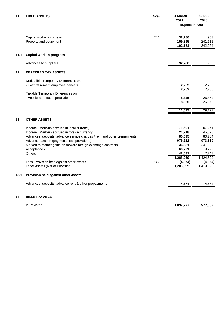| 11      | <b>FIXED ASSETS</b>                                                         | Note | 31 March<br>2021<br>----- Rupees in '000 ------ | 31-Dec<br>2020     |
|---------|-----------------------------------------------------------------------------|------|-------------------------------------------------|--------------------|
|         |                                                                             |      |                                                 |                    |
|         | Capital work-in-progress<br>Property and equipment                          | 11.1 | 32,786<br>159,395                               | 953<br>241,111     |
|         |                                                                             |      | 192,181                                         | 242,064            |
| 11.1    | <b>Capital work-in-progress</b>                                             |      |                                                 |                    |
|         | Advances to suppliers                                                       |      | 32,786                                          | 953                |
| $12 \,$ | <b>DEFERRED TAX ASSETS</b>                                                  |      |                                                 |                    |
|         | Deductible Temporary Differences on                                         |      |                                                 |                    |
|         | - Post retirement employee benefits                                         |      | 2,252                                           | 2,255              |
|         |                                                                             |      | 2,252                                           | 2,255              |
|         | Taxable Temporary Differences on<br>- Accelerated tax depreciation          |      | 8,825                                           | 26,872             |
|         |                                                                             |      | 8,825                                           | 26,872             |
|         |                                                                             |      | 11,077                                          | 29,127             |
| 13      | <b>OTHER ASSETS</b>                                                         |      |                                                 |                    |
|         |                                                                             |      |                                                 |                    |
|         | Income / Mark-up accrued in local currency                                  |      | 71,301                                          | 67,271             |
|         | Income / Mark-up accrued in foreign currency                                |      | 21,718                                          | 45,028             |
|         | Advances, deposits, advance service charges / rent and other prepayments    |      | 80,595                                          | 80,784             |
|         | Advance taxation (payments less provisions)                                 |      | 975,622                                         | 973,339            |
|         | Marked to market gains on forward foreign exchange contracts<br>Acceptances |      | 36,081<br>60,721                                | 241,065            |
|         | <b>Others</b>                                                               |      | 42,031                                          | 9,272              |
|         |                                                                             |      | 1,288,069                                       | 7,743<br>1,424,502 |
|         | Less: Provision held against other assets                                   | 13.1 | (4,674)                                         | (4,674)            |
|         | Other Assets (Net of Provision)                                             |      | 1,283,395                                       | 1,419,828          |
|         |                                                                             |      |                                                 |                    |
| 13.1    | Provision held against other assets                                         |      |                                                 |                    |
|         | Advances, deposits, advance rent & other prepayments                        |      | 4,674                                           | 4,674              |
| 14      | <b>BILLS PAYABLE</b>                                                        |      |                                                 |                    |
|         | In Pakistan                                                                 |      | 1,032,777                                       | 972,657            |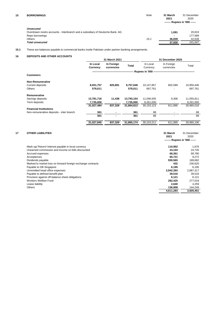| <b>Unsecured</b>                                                              |        |         |
|-------------------------------------------------------------------------------|--------|---------|
| Overdrawn nostro accounts - Interbranch and a subsidiary of Deutsche Bank, AG | 1.091  | 20.819  |
| Repo borrowings                                                               |        | 177.589 |
| Others<br>15.1                                                                | 36.839 | 42.639  |
| <b>Total unsecured</b>                                                        | 37.930 | 241.047 |
|                                                                               |        |         |

# **15.1** These are balances payable to commercial banks inside Pakistan under partner banking arrangements.

# **16 DEPOSITS AND OTHER ACCOUNTS**

|                                          |                      | 31 March 2021            |            |                      | 31 December 2020         |            |
|------------------------------------------|----------------------|--------------------------|------------|----------------------|--------------------------|------------|
|                                          | In Local<br>Currency | In Foreign<br>currencies | Total      | In Local<br>Currency | In Foreign<br>currencies | Total      |
|                                          |                      |                          |            |                      |                          |            |
| <b>Customers</b>                         |                      |                          |            |                      |                          |            |
| <b>Non-Remunerative</b>                  |                      |                          |            |                      |                          |            |
| <b>Current deposits</b>                  | 8,931,757            | 825,891                  | 9,757,648  | 10,147,857           | 802,589                  | 10,950,446 |
| <b>Others</b>                            | 579,011              |                          | 579,011    | 697.761              |                          | 697,761    |
| Remunerative                             |                      |                          |            |                      |                          |            |
| Savings deposits                         | 13,781,716           | 11,438                   | 13,793,154 | 11,046,505           | 9,306                    | 11,055,811 |
| Term deposits                            | 7,735,000            |                          | 7,735,000  | 8,261,000            |                          | 8,261,000  |
|                                          | 31,027,484           | 837,329                  | 31,864,813 | 30, 153, 123         | 811.895                  | 30,965,018 |
| <b>Financial Institutions</b>            |                      |                          |            |                      |                          |            |
| Non-remunerative deposits - inter branch | 361                  |                          | 361        | 88                   |                          | 88         |
|                                          | 361                  |                          | 361        | 88                   |                          | 88         |
|                                          | 31,027,845           | 837,329                  | 31,865,174 | 30,153,211           | 811,895                  | 30,965,106 |

| 17 | <b>OTHER LIABILITIES</b>                                    | 31 March<br>2021<br>------- Rupees in '000 ------ | 31 December<br>2020 |
|----|-------------------------------------------------------------|---------------------------------------------------|---------------------|
|    | Mark-up/ Return/ Interest payable in local currency         | 110,902                                           | 1,676               |
|    | Unearned commission and income on bills discounted          | 24.104                                            | 24,735              |
|    | Accrued expenses                                            | 68,361                                            | 99,790              |
|    | Acceptances                                                 | 60,721                                            | 9.272               |
|    | Dividends payable                                           | 930,565                                           | 189,682             |
|    | Marked to market loss on forward foreign exchange contracts | 432                                               | 230,620             |
|    | Payable to DB Singapore                                     | 6,195                                             | 6.195               |
|    | Unremitted head office expenses                             | 2,942,393                                         | 2,887,317           |
|    | Payable to defined benefit plan                             | 39.516                                            | 39,516              |
|    | Provision against off-balance sheet obligations             | 6,121                                             | 6.121               |
|    | Workers Welfare Fund                                        | 282,425                                           | 277,019             |
|    | Lease liability                                             | 2.640                                             | 4.259               |
|    | Others                                                      | 136,908                                           | 144,249             |
|    |                                                             | 4,611,283                                         | 3,920,451           |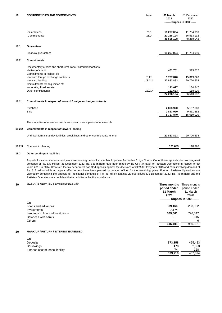| 18     | <b>CONTINGENCIES AND COMMITMENTS</b>                                          | Note   | 31 March<br>2021              | 31 December<br>2020 |
|--------|-------------------------------------------------------------------------------|--------|-------------------------------|---------------------|
|        |                                                                               |        | ------- Rupees in '000 ------ |                     |
|        |                                                                               |        |                               |                     |
|        | -Guarantees                                                                   | 18.1   | 11,267,004                    | 11,754,910          |
|        | -Commitments                                                                  | 18.2   | 27,238,194                    | 36,513,132          |
|        |                                                                               |        | 38,505,198                    | 48,268,042          |
| 18.1   | <b>Guarantees</b>                                                             |        |                               |                     |
|        | Financial guarantees                                                          |        | 11,267,004                    | 11,754,910          |
| 18.2   | <b>Commitments</b>                                                            |        |                               |                     |
|        | Documentary credits and short-term trade-related transactions                 |        |                               |                     |
|        | - letters of credit                                                           |        | 401,751                       | 519,812             |
|        | Commitments in respect of:                                                    |        |                               |                     |
|        | - forward foreign exchange contracts                                          | 18.2.1 | 5,727,840                     | 15,019,020          |
|        | - forward lending                                                             | 18.2.2 | 20,863,893                    | 20,720,534          |
|        | Commitments for acquisition of:                                               |        |                               |                     |
|        | - operating fixed assets                                                      |        | 123,027                       | 134,847             |
|        | Other commitments                                                             | 18.2.3 | 121,683                       | 118,920             |
|        |                                                                               |        | 27,238,194                    | 36,513,132          |
| 18.2.1 | Commitments in respect of forward foreign exchange contracts                  |        |                               |                     |
|        | Purchase                                                                      |        | 2,863,920                     | 5,157,668           |
|        | Sale                                                                          |        | 2,863,920                     | 9,861,352           |
|        |                                                                               |        | 5,727,840                     | 15,019,020          |
|        | The maturities of above contracts are spread over a period of one month.      |        |                               |                     |
| 18.2.2 | Commitments in respect of forward lending                                     |        |                               |                     |
|        | Undrawn formal standby facilities, credit lines and other commitments to lend |        | 20,863,893                    | 20,720,534          |
|        |                                                                               |        |                               |                     |
| 18.2.3 | Cheques in clearing                                                           |        | 121.683                       | 118,920             |

# **18.3 Other contingent liabilities**

Appeals for various assessment years are pending before Income Tax Appellate Authorities / High Courts. Out of these appeals, decisions against demands of Rs. 638 million (31 December 2020: Rs. 638 million) have been made by the CIRA in favor of Pakistan Operations in respect of tax years 2011 to 2014. However, the tax department has filed appeals against the decisions of CIRA for tax years 2013 and 2014 involving demand of Rs. 513 million while no appeal effect orders have been passed by taxation officer for the remaining years. Further, Pakistan Operations are vigorously contesting the appeals for additional demands of Rs. 45 million against various issues (31 December 2020: Rs. 45 million) and the Pakistan Operations are confident that no additional liability would arise.

# **19 MARK-UP / RETURN / INTEREST EARNED Three months** Three months

|                                    | period ended                      | period ended             |
|------------------------------------|-----------------------------------|--------------------------|
|                                    | 31 March                          | 31 March                 |
|                                    | 2021                              | 2020                     |
|                                    | ---------- Rupees in '000 ------- |                          |
| On:                                |                                   |                          |
| Loans and advances                 | 39,166                            | 233,952                  |
| Investments                        | 7,574                             | $\overline{\phantom{0}}$ |
| Lendings to financial institutions | 569,661                           | 726,047                  |
| Balances with banks                |                                   | 316                      |
| <b>Others</b>                      | $\blacksquare$                    | 6                        |
|                                    | 616,401                           | 960,321                  |
|                                    |                                   |                          |

# **20 MARK-UP / RETURN / INTEREST EXPENSED**

| On:                             |         |         |
|---------------------------------|---------|---------|
| Deposits                        | 373.158 | 455.423 |
| Borrowings                      | 478     | 2,323   |
| Finance cost of lease liability | 74      | 128     |
|                                 | 373.710 | 457.874 |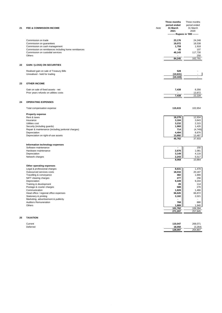| 21 | <b>FEE &amp; COMMISSION INCOME</b>                                                                 | Note | Three months<br>period ended<br>31 March<br>2021<br>-------- Rupees in '000 ------- | Three months<br>period ended<br>31 March<br>2020 |
|----|----------------------------------------------------------------------------------------------------|------|-------------------------------------------------------------------------------------|--------------------------------------------------|
|    |                                                                                                    |      |                                                                                     |                                                  |
|    | Commission on trade<br>Commission on guarantees<br>Commission on cash management                   |      | 23,176<br>19,072<br>1,759                                                           | 24,248<br>18,538<br>1,918                        |
|    | Commission on remittances including home remittances<br>Commission on custodial services<br>Others |      | 95<br>40,143                                                                        | 107<br>117,730<br>250                            |
|    |                                                                                                    |      | 84,245                                                                              | 162,791                                          |
| 22 | <b>GAIN / (LOSS) ON SECURITIES</b>                                                                 |      |                                                                                     |                                                  |
|    | Realised gain on sale of Treasury Bills                                                            |      | 528                                                                                 |                                                  |
|    | Unrealised - held for trading                                                                      |      | (10, 631)                                                                           |                                                  |
|    |                                                                                                    |      | (10, 103)                                                                           |                                                  |
| 23 | <b>OTHER INCOME</b>                                                                                |      |                                                                                     |                                                  |
|    | Gain on sale of fixed assets - net                                                                 |      | 7,438                                                                               | 8,356                                            |
|    | Prior years refunds on utilities costs                                                             |      |                                                                                     | 13,872                                           |
|    |                                                                                                    |      | 7,438                                                                               | 22,228                                           |
| 24 | <b>OPERATING EXPENSES</b>                                                                          |      |                                                                                     |                                                  |
|    | Total compensation expense                                                                         |      | 115,615                                                                             | 102,654                                          |
|    | <b>Property expense</b>                                                                            |      |                                                                                     |                                                  |
|    | Rent & taxes                                                                                       |      | 18,278                                                                              | 12,934                                           |
|    | Insurance                                                                                          |      | 3,184                                                                               | 3,643                                            |
|    | Utilities cost<br>Security (including guards)                                                      |      | 3,232<br>1,968                                                                      | 2,315<br>1,426                                   |
|    | Repair & maintenance (including janitorial charges)                                                |      | 714                                                                                 | (4, 749)                                         |
|    | Depreciation                                                                                       |      | 4,494                                                                               | 8,876                                            |
|    | Depreciation on right-of-use assets                                                                |      | 13,892<br>45,762                                                                    | 13,487<br>37,933                                 |
|    | Information technology expenses                                                                    |      |                                                                                     |                                                  |
|    | Software maintenance                                                                               |      |                                                                                     | 150                                              |
|    | Hardware maintenance                                                                               |      | 2,676                                                                               | 1,081                                            |
|    | Depreciation<br>Network charges                                                                    |      | 3,149<br>2,243                                                                      | 4,116<br>5,517                                   |
|    |                                                                                                    |      | 8,068                                                                               | 10,864                                           |
|    | Other operating expenses                                                                           |      |                                                                                     |                                                  |
|    | Legal & professional charges                                                                       |      | 8,631                                                                               | 1,478                                            |
|    | Outsourced services costs                                                                          |      | 18,016                                                                              | 20,187                                           |
|    | Travelling & conveyance                                                                            |      | 482                                                                                 | 1,666                                            |
|    | NIFT clearing charges<br>Depreciation                                                              |      | 277<br>9,449                                                                        | 256<br>9,244                                     |
|    | Training & development                                                                             |      | 26                                                                                  | 114                                              |
|    | Postage & courier charges                                                                          |      | 588                                                                                 | 270                                              |
|    | Communication                                                                                      |      | 1,828                                                                               | 1,466                                            |
|    | Head office / regional office expenses<br>Stationery & printing                                    |      | 56,626<br>3,182                                                                     | 66,872<br>2,021                                  |
|    | Marketing, advertisement & publicity                                                               |      |                                                                                     |                                                  |
|    | <b>Auditors Remuneration</b>                                                                       |      | 768                                                                                 | 880                                              |
|    | Others                                                                                             |      | 1,889                                                                               | 1,940                                            |
|    |                                                                                                    |      | 101,762<br>271,207                                                                  | 106,394<br>257,845                               |
|    |                                                                                                    |      |                                                                                     |                                                  |
| 25 | <b>TAXATION</b>                                                                                    |      |                                                                                     |                                                  |

| Current<br>.  | 110.047 | 268,071<br>__ |
|---------------|---------|---------------|
| Deferred<br>. | 18,050  | (3.264)       |
|               | 128.097 | 264.807       |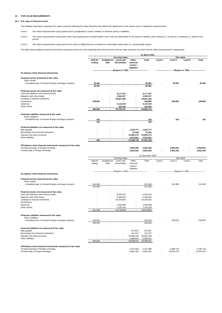# **26 FAIR VALUE MEASUREMENTS**

## **26.1 Fair value of financial assets**

The Pakistan Operations measures fair values using the following fair value hierarchy that reflects the significance of the inputs used in making the measurements:

Level 1: Fair value measurements using quoted prices (unadjusted) in active markets for identical assets or liabilities.

Level 2: Fair value measurements using inputs other than quoted prices included within Level 1 that are observable for the assets or liability, either directly (i.e. as prices) or indirectly (i.e. derived from prices).

Level 3: Fair value measurements using input for the asset or liability that are not based on observable market data (i.e. unobservable inputs).

The table below analyses financial instruments measured at the end of the reporting period by the level in the fair value hierarchy into which the fair value measurement is categorised:

|                                                                                                                                            |                            |                              |                                        |                                               | 31 March 2021                              |         |                                                               |                             |                                                              |
|--------------------------------------------------------------------------------------------------------------------------------------------|----------------------------|------------------------------|----------------------------------------|-----------------------------------------------|--------------------------------------------|---------|---------------------------------------------------------------|-----------------------------|--------------------------------------------------------------|
|                                                                                                                                            |                            |                              | <b>Carrying Value</b>                  |                                               |                                            |         | <b>Fair Value</b>                                             |                             |                                                              |
|                                                                                                                                            | <b>Held for</b><br>trading | <b>Available for</b><br>Sale | <b>Loans and</b><br><b>Receivables</b> | Other<br>financial<br>assets /<br>liabilities | Total                                      | Level 1 | Level 2                                                       | Level 3                     | <b>Total</b>                                                 |
| On balance sheet financial instruments                                                                                                     |                            |                              | (Rupees in '000)                       |                                               |                                            |         |                                                               | --- (Rupees in '000) ------ |                                                              |
| Financial assets measured at fair value                                                                                                    |                            |                              |                                        |                                               |                                            |         |                                                               |                             |                                                              |
| <b>Other Assets</b>                                                                                                                        |                            |                              |                                        |                                               |                                            |         |                                                               |                             |                                                              |
| - Unrealized gain on forward foreign exchange contracts                                                                                    | 36,081<br>36,081           |                              |                                        |                                               | 36,081<br>36,081                           |         | 36,081                                                        |                             | 36,081                                                       |
| Financial assets not measured at fair value                                                                                                |                            |                              |                                        |                                               |                                            |         |                                                               |                             |                                                              |
| Cash and balances with treasury banks                                                                                                      |                            |                              | 8,177,457                              |                                               | 8,177,457                                  |         |                                                               |                             |                                                              |
| Balances with other banks<br>Lendings to financial institutions                                                                            |                            |                              | 2,362,227<br>28,867,360                |                                               | 2,362,227<br>28,867,360                    |         |                                                               |                             |                                                              |
| Investments                                                                                                                                | 348,884                    |                              |                                        |                                               | 348,884                                    |         | 348,884                                                       |                             | 348,884                                                      |
| Advances                                                                                                                                   |                            |                              | 4,110,244                              |                                               | 4,110,244                                  |         |                                                               |                             |                                                              |
| Other assets                                                                                                                               |                            |                              | 183,463                                |                                               | 183,463                                    |         |                                                               |                             |                                                              |
|                                                                                                                                            | 384,965                    |                              | 43,700,751                             |                                               | 44,085,716                                 |         |                                                               |                             |                                                              |
| Financial Liabilities measured at fair value<br>Other Liabilities                                                                          |                            |                              |                                        |                                               |                                            |         |                                                               |                             |                                                              |
| - Unrealized loss on forward foreign exchange contracts                                                                                    | 432                        |                              |                                        |                                               | 432                                        |         | 432                                                           |                             | 432<br>2,900,001<br>2,864,352<br>Total<br>241,065<br>230,620 |
|                                                                                                                                            | 432                        |                              |                                        |                                               | 432                                        |         |                                                               |                             |                                                              |
| Financial liabilities not measured at fair value                                                                                           |                            |                              |                                        |                                               |                                            |         |                                                               |                             |                                                              |
| Bills payable                                                                                                                              |                            |                              |                                        | 1,032,777                                     | 1,032,777                                  |         |                                                               |                             |                                                              |
| Borrowings from financial institutions                                                                                                     |                            |                              |                                        | 37,930                                        | 37,930                                     |         |                                                               |                             |                                                              |
| Deposits and other accounts                                                                                                                |                            |                              |                                        | 31,865,174                                    | 31,865,174                                 |         |                                                               |                             |                                                              |
| Other liabilities                                                                                                                          | 432                        |                              |                                        | 4,610,851<br>37,546,732                       | 4,610,851<br>37,547,164                    |         |                                                               |                             |                                                              |
| Off-balance sheet financial instruments measured at fair value<br>Forward purchase of foreign exchange<br>Forward sale of foreign exchange |                            |                              |                                        | 2,863,920<br>2,863,920                        | 2,863,920<br>2,863,920<br>31 December 2020 |         | 2,900,001<br>2,864,352                                        |                             |                                                              |
|                                                                                                                                            |                            |                              | Carrying Value                         |                                               |                                            |         | Fair Value                                                    |                             |                                                              |
|                                                                                                                                            | Held for<br>trading        | Available for<br>Sale        | Loans and<br>Receivables               | Other<br>financial<br>assets /<br>liabilities | Total                                      | Level 1 | Level 2                                                       | Level 3                     |                                                              |
|                                                                                                                                            |                            |                              | (Rupees in '000)                       |                                               |                                            |         | -------------------- (Rupees in '000) ----------------------- |                             |                                                              |
| On balance sheet financial instruments                                                                                                     |                            |                              |                                        |                                               |                                            |         |                                                               |                             |                                                              |
| Financial assets measured at fair value<br>Other Assets                                                                                    |                            |                              |                                        |                                               |                                            |         |                                                               |                             |                                                              |
| - Unrealized gain on forward foreign exchange contracts                                                                                    | 241,065                    |                              |                                        |                                               | 241,065                                    |         | 241,065                                                       |                             |                                                              |
|                                                                                                                                            | 241,065                    |                              |                                        |                                               | 241,065                                    |         |                                                               |                             |                                                              |
| Financial assets not measured at fair value                                                                                                |                            |                              |                                        |                                               |                                            |         |                                                               |                             |                                                              |
| Cash and balances with treasury banks                                                                                                      |                            |                              | 8,645,015                              |                                               | 8,645,015                                  |         |                                                               |                             |                                                              |
| Balances with other banks                                                                                                                  |                            |                              | 5,268,843                              |                                               | 5,268,843                                  |         |                                                               |                             |                                                              |
| Lendings to financial institutions<br>Investments                                                                                          |                            |                              | 26,209,833                             |                                               | 26,209,833                                 |         |                                                               |                             |                                                              |
| Advances                                                                                                                                   |                            |                              | 2,505,899                              | $\overline{\phantom{a}}$                      | 2,505,899                                  |         |                                                               |                             |                                                              |
| Other assets                                                                                                                               |                            |                              | 1,109,249                              |                                               | 1,109,249                                  |         |                                                               |                             |                                                              |
|                                                                                                                                            | 241.065                    |                              | 43,738,839                             |                                               | 43,979,904                                 |         |                                                               |                             |                                                              |
| Financial Liabilities measured at fair value<br><b>Other Liabilities</b>                                                                   |                            |                              |                                        |                                               |                                            |         |                                                               |                             |                                                              |
| - Unrealized loss on forward foreign exchange contracts                                                                                    | 230,620                    |                              |                                        |                                               | 230,620                                    |         | 230,620                                                       |                             |                                                              |
|                                                                                                                                            | 230,620                    |                              |                                        |                                               | 230,620                                    |         |                                                               |                             |                                                              |
| Financial liabilities not measured at fair value<br>Bills payable                                                                          |                            |                              |                                        | 972,657                                       | 972,657                                    |         |                                                               |                             |                                                              |
| Borrowings from financial institutions                                                                                                     |                            |                              |                                        | 241,047                                       | 241,047                                    |         |                                                               |                             |                                                              |
| Deposits and other accounts                                                                                                                |                            |                              |                                        | 30,965,106                                    | 30,965,106                                 |         |                                                               |                             |                                                              |
| Other liabilities                                                                                                                          |                            |                              |                                        | 3,689,831                                     | 3,689,831                                  |         |                                                               |                             |                                                              |
|                                                                                                                                            | 230,620                    |                              |                                        | 35,868,641                                    | 36,099,261                                 |         |                                                               |                             |                                                              |
| Off-balance sheet financial instruments measured at fair value<br>Forward purchase of foreign exchange<br>Forward sale of foreign exchange |                            |                              |                                        | 5,157,668<br>9,861,352                        | 5,157,668<br>9,861,352                     | ٠       | 5,398,733<br>10,091,972                                       |                             | 5,398,733<br>10,091,972                                      |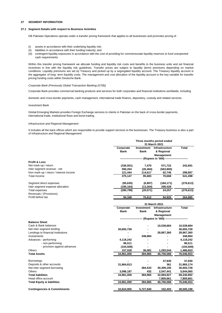# **27 SEGMENT INFORMATION**

## **27.1 Segment Details with respect to Business Activities**

DB Pakistan Operations operate under a transfer pricing framework that applies to all businesses and promotes pricing of :

- (i) assets in accordance with their underlying liquidity risk;
- (ii) liabilities in accordance with their funding maturity; and
- (iii) contingent liquidity exposures in accordance with the cost of providing for commensurate liquidity reserves to fund unexpected cash requirements.

Within this transfer pricing framework we allocate funding and liquidity risk costs and benefits to the business units and set financial incentives in line with the liquidity risk guidelines. Transfer prices are subject to liquidity (term) premiums depending on market conditions. Liquidity premiums are set by Treasury and picked up by a segregated liquidity account. The Treasury liquidity account is the aggregator of long- term liquidity costs. The management and cost allocation of the liquidity account is the key variable for transfer pricing funding costs within Deutsche Bank.

## *Corporate Bank (Previously Global Transaction Banking (GTB))*

Corporate Bank provides commercial banking products and services for both corporates and financial institutions worldwide, including

domestic and cross-border payments, cash management, international trade finance, depository, custody and related services.

#### *Investment Bank*

Global Emerging Markets provides Foreign Exchange services to clients in Pakistan on the back of cross-border payments, international trade, institutional flows and bond trading.

# *Infrastructure and Regional Management*

It includes all the back offices which are responsible to provide support services to the businesses. The Treasury business is also a part of Infrastructure and Regional Management.

|                                        |             |             | Three months period ended                |                   |
|----------------------------------------|-------------|-------------|------------------------------------------|-------------------|
|                                        |             |             | 31 March 2021                            |                   |
|                                        | Corporate   | Investment  | <b>Infrastructure</b>                    | Total             |
|                                        | <b>Bank</b> | Bank        | & Regional                               |                   |
|                                        |             |             | <b>Management</b>                        |                   |
|                                        |             |             | (Rupees in '000) ------                  |                   |
| <b>Profit &amp; Loss</b>               |             |             |                                          |                   |
| Net mark-up / return                   | (336, 501)  | 7,470       | 571,722                                  | 242,691           |
| Inter segment revenue - net            | 590,204     | (26, 404)   | (563,800)                                |                   |
| Non mark-up / return / interest income | 121,444     | 114,617     | 62,746                                   | 298,807           |
| <b>Total Income</b>                    | 375,147     | 95,683      | 70,668                                   | 541,498           |
| Segment direct expenses                | (85, 635)   | (6, 807)    | (184, 171)                               | (276, 613)        |
| Inter segment expense allocation       | (195, 164)  | (13, 264)   | 208,428                                  |                   |
| <b>Total expenses</b>                  | (280, 799)  | (20, 071)   | 24,257                                   | (276, 613)        |
| Reversals / (Provisions)               | ۰           |             | ۰                                        |                   |
| Profit before tax                      | 94.348      | 75,612      | 94,925                                   | 264,885           |
|                                        |             |             | 31 March 2021                            |                   |
|                                        | Corporate   | Investment  | Infrastructure                           | Total             |
|                                        | <b>Bank</b> | <b>Bank</b> | & Regional                               |                   |
|                                        |             |             | Management                               |                   |
|                                        |             |             | -- (Rupees in '000) -------------------- |                   |
| <b>Balance Sheet</b>                   |             |             |                                          |                   |
| Cash & Bank balances                   |             |             | 10,539,684                               | 10,539,684        |
| Net inter segment lending              | 30,693,728  |             |                                          | 30,693,728        |
| Lendings to financial institutions     |             |             | 28,867,360                               | 28,867,360        |
| Investments                            |             | 348.884     |                                          | 348,884           |
| Advances - performing                  | 4,118,242   |             |                                          | 4,118,242         |
| - non-performing                       | 96,511      |             |                                          | 96,511            |
| - provision against advances           | (104, 509)  |             |                                          | (104, 509)        |
| Others                                 | 157,028     | 36,081      | 1,293,544                                | 1,486,653         |
| <b>Total Assets</b>                    | 34,961,000  | 384,965     | 40,700,588                               | <u>76,046,553</u> |
|                                        |             |             |                                          |                   |
| Borrowings                             |             |             | 37,930                                   | 37,930            |
| Deposits & other accounts              | 31,864,813  |             | 361                                      | 31,865,174        |
| Net inter segment borrowing            |             | 384,533     | 30,309,195                               | 30,693,728        |
| Others                                 | 3,096,187   | 432         | 2,547,441                                | 5,644,060         |
| <b>Total liabilities</b>               | 34,961,000  | 384,965     | 32,894,927                               | 68,240,892        |
| Head office account                    |             | ٠           | 7,805,661                                | 7,805,661         |
| <b>Total Equity &amp; liabilities</b>  | 34,961,000  | 384,965     | 40,700,588                               | 76,046,553        |
|                                        |             |             |                                          |                   |
| <b>Contingencies &amp; Commitments</b> | 32,624,955  | 5,727,840   | 152,403                                  | <u>38,505,198</u> |
|                                        |             |             |                                          |                   |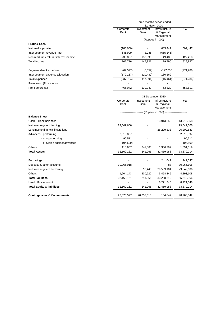|                                        |                          |                           | Three months period ended<br>31 March 2020                         |            |
|----------------------------------------|--------------------------|---------------------------|--------------------------------------------------------------------|------------|
|                                        | Corporate<br>Bank        | Investment<br><b>Bank</b> | Infrastructure<br>& Regional<br>Management                         | Total      |
|                                        |                          |                           | ------------------------ (Rupees in '000) ------------------------ |            |
| <b>Profit &amp; Loss</b>               |                          |                           |                                                                    |            |
| Net mark-up / return                   | (183,000)                |                           | 685,447                                                            | 502,447    |
| Inter segment revenue - net            | 646,909                  | 8,236                     | (655, 145)                                                         |            |
| Non mark-up / return / interest income | 238,867                  | 139,095                   | 49,488                                                             | 427,450    |
| <b>Total Income</b>                    | 702,776                  | 147,331                   | 79,790                                                             | 929,897    |
| Segment direct expenses                | (67, 597)                | (6,659)                   | $-197,030$                                                         | (271, 286) |
| Inter segment expense allocation       | (170, 137)               | (10, 432)                 | 180,569                                                            |            |
| Total expenses                         | (237, 734)               | (17,091)                  | (16, 461)                                                          | (271, 286) |
| Reversals / (Provisions)               |                          |                           |                                                                    |            |
| Profit before tax                      | 465,042                  | 130,240                   | 63,329                                                             | 658,611    |
|                                        |                          |                           | 31 December 2020                                                   |            |
|                                        | Corporate<br><b>Bank</b> | Investment<br>Bank        | Infrastructure<br>& Regional<br>Management                         | Total      |
|                                        |                          |                           | ------------------------ (Rupees in '000) ------------------------ |            |
| <b>Balance Sheet</b>                   |                          |                           |                                                                    |            |
| Cash & Bank balances                   |                          |                           | 13,913,858                                                         | 13,913,858 |
| Net inter segment lending              | 29,549,606               |                           |                                                                    | 29,549,606 |
| Lendings to financial institutions     |                          |                           | 26,209,833                                                         | 26,209,833 |
| Advances - performing                  | 2,513,897                |                           |                                                                    | 2,513,897  |
| - non-performing                       | 96,511                   |                           |                                                                    | 96,511     |
| - provision against advances           | (104, 509)               |                           |                                                                    | (104, 509) |
| <b>Others</b>                          | 113,657                  | 241,065                   | 1,336,297                                                          | 1,691,019  |
| <b>Total Assets</b>                    | 32,169,161               | 241,065                   | 41,459,988                                                         | 73,870,214 |
|                                        |                          |                           |                                                                    |            |

| <b>Borrowings</b>                      | $\overline{\phantom{0}}$ |            | 241.047    | 241,047    |
|----------------------------------------|--------------------------|------------|------------|------------|
| Deposits & other accounts              | 30.965.018               |            | 88         | 30,965,106 |
| Net inter segment borrowing            |                          | 10.445     | 29,539,161 | 29,549,606 |
| <b>Others</b>                          | 1.204.143                | 230,620    | 3,458,345  | 4,893,108  |
| <b>Total liabilities</b>               | 32,169,161               | 241.065    | 33,238,640 | 65,648,866 |
| Head office account                    |                          |            | 8,221,348  | 8,221,348  |
| <b>Total Equity &amp; liabilities</b>  | 32,169,161               | 241.065    | 41.459.988 | 73.870.214 |
|                                        |                          |            |            |            |
| <b>Contingencies &amp; Commitments</b> | 28,075,577               | 20,057,618 | 134.847    | 48,268,042 |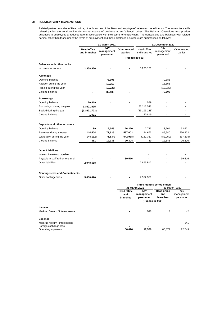# **28 RELATED PARTY TRANSACTIONS**

Related parties comprise of Head office, other branches of the Bank and employees' retirement benefit funds. The transactions with related parties are conducted under normal course of business at arm's length prices. The Pakistan Operations also provide advances to employees at reduced rate in accordance with their terms of employment. The transactions and balances with related parties, other than those under the terms of employment and those disclosed elsewhere are summarized as follows:

|                                                                | 31 March 2021                      |                                |                          | 31 December 2020                     |                                |                          |  |
|----------------------------------------------------------------|------------------------------------|--------------------------------|--------------------------|--------------------------------------|--------------------------------|--------------------------|--|
|                                                                | <b>Head office</b><br>and branches | Key<br>management<br>personnel | Other related<br>parties | Head office<br>and branches          | Key<br>management<br>personnel | Other related<br>parties |  |
|                                                                |                                    |                                |                          | - (Rupees in '000) -                 |                                |                          |  |
| <b>Balances with other banks</b>                               |                                    |                                |                          |                                      |                                |                          |  |
| In current accounts                                            | 2,358,966                          |                                |                          | 5,265,153                            |                                |                          |  |
|                                                                |                                    |                                |                          |                                      |                                |                          |  |
| <b>Advances</b>                                                |                                    |                                |                          |                                      |                                |                          |  |
| Opening balance                                                |                                    | 73,105                         |                          |                                      | 70,383                         |                          |  |
| Addition during the year                                       |                                    | 19,259                         |                          |                                      | 16,655                         |                          |  |
| Repaid during the year                                         |                                    | (10, 226)                      |                          |                                      | (13, 933)                      |                          |  |
| Closing balance                                                | $\overline{a}$                     | 82,138                         | $\overline{a}$           | ÷.                                   | 73,105                         |                          |  |
| <b>Borrowings</b>                                              |                                    |                                |                          |                                      |                                |                          |  |
| Opening balance                                                | 20,819                             |                                |                          | 559                                  |                                |                          |  |
| Borrowings during the year                                     | 13,601,995                         |                                |                          | 53,213,546                           |                                |                          |  |
| Settled during the year                                        | (13,621,723)                       |                                |                          | (53, 193, 285)                       |                                |                          |  |
| Closing balance                                                | 1,091                              | $\blacksquare$                 | $\blacksquare$           | 20,819                               | $\overline{\phantom{a}}$       |                          |  |
|                                                                |                                    |                                |                          |                                      |                                |                          |  |
|                                                                |                                    |                                |                          |                                      |                                |                          |  |
| Deposits and other accounts                                    |                                    |                                |                          |                                      |                                |                          |  |
| Opening balance<br>Received during the year                    | 89                                 | 12,345<br>71,625               | 26,220<br>537,002        | 7,783<br>144,673                     | 8,764<br>85,640                | 32,621<br>530,802        |  |
| Withdrawn during the year                                      | 144,404                            |                                |                          |                                      |                                |                          |  |
| Closing balance                                                | (144, 132)<br>361                  | (71, 834)<br>12,136            | (542, 918)<br>20,304     | (152, 367)<br>89                     | (82,059)<br>12,345             | (537, 203)<br>26,220     |  |
|                                                                |                                    |                                |                          |                                      |                                |                          |  |
| <b>Other Liabilities</b>                                       |                                    |                                |                          |                                      |                                |                          |  |
|                                                                |                                    |                                |                          |                                      |                                |                          |  |
| Interest / mark-up payable<br>Payable to staff retirement fund |                                    |                                | 39,516                   |                                      |                                | 39,516                   |  |
| Other liabilities                                              | 2,948,588                          |                                |                          | 2,893,512                            |                                | ä,                       |  |
|                                                                |                                    |                                |                          |                                      |                                |                          |  |
|                                                                |                                    |                                |                          |                                      |                                |                          |  |
| <b>Contingencies and Commitments</b>                           |                                    |                                |                          |                                      |                                |                          |  |
| Other contingencies                                            | 5,408,490                          |                                |                          | 7,952,350                            |                                |                          |  |
|                                                                |                                    |                                |                          |                                      | Three months period ended      |                          |  |
|                                                                |                                    |                                |                          | 31 March 2021                        |                                | 31 March 2020            |  |
|                                                                |                                    |                                | <b>Head office</b>       | Key                                  | <b>Head office</b>             | Key                      |  |
|                                                                |                                    |                                | and                      | management                           | and                            | management               |  |
|                                                                |                                    |                                | branches                 | personnel<br>---- (Rupees in '000) - | branches                       | personnel                |  |
|                                                                |                                    |                                |                          |                                      |                                |                          |  |
| Income                                                         |                                    |                                |                          |                                      |                                |                          |  |
| Mark-up / return / interest earned                             |                                    |                                |                          | 563                                  | 3                              | 42                       |  |
| <b>Expense</b>                                                 |                                    |                                |                          |                                      |                                |                          |  |
| Mark-up / return / interest paid                               |                                    |                                |                          |                                      |                                | 141                      |  |
| Foreign exchange loss                                          |                                    |                                |                          |                                      |                                |                          |  |
| Operating expenses                                             |                                    |                                | 56,626                   | 17,526                               | 66,872                         | 22,749                   |  |